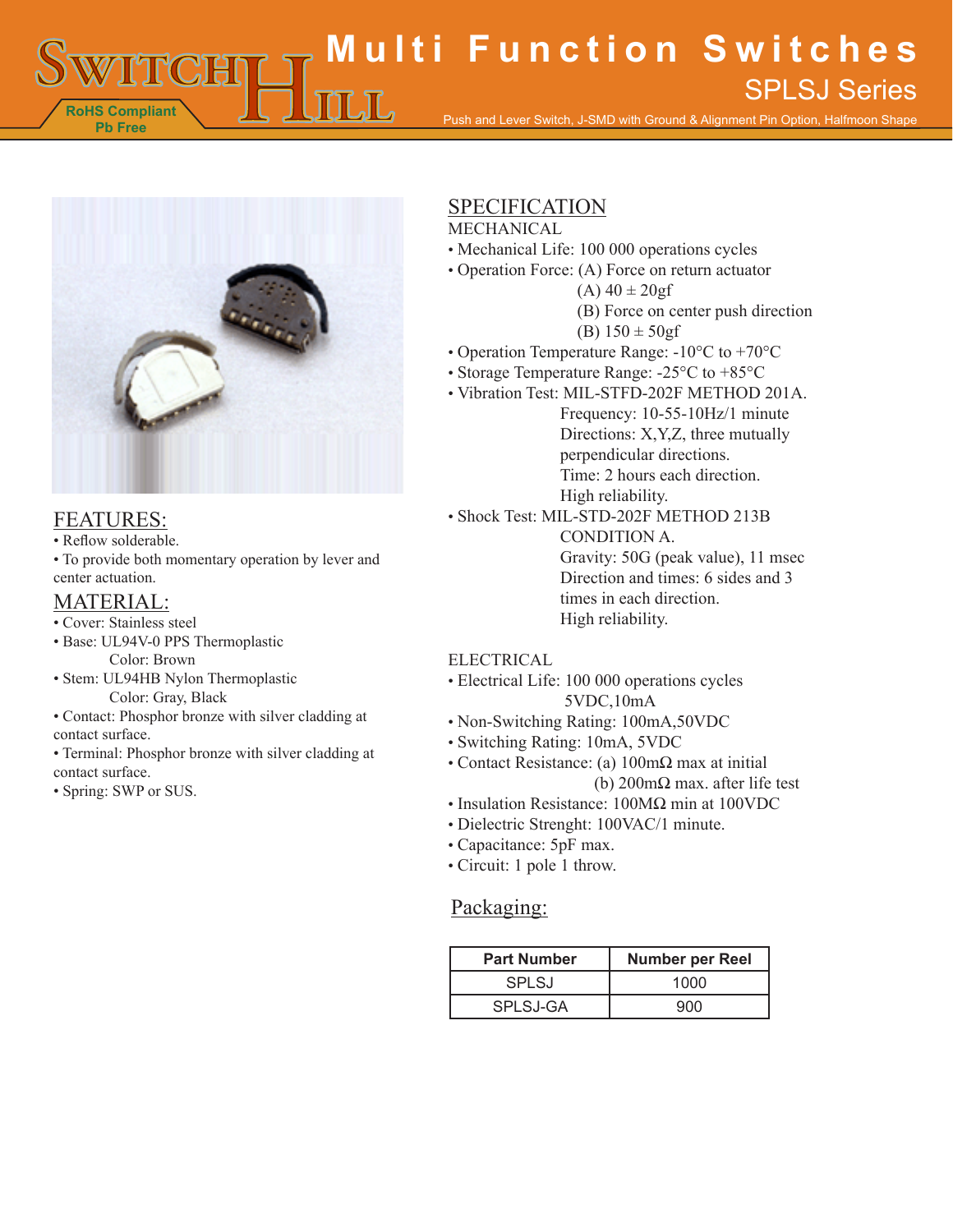**RoHS Compliant Pb Free Multi Function Switches** Push and Lever Switch, J-SMD with Ground & Alignment Pin Option, Halfmoon Shape SPLSJ Series



## FEATURES:

• Reflow solderable.

• To provide both momentary operation by lever and center actuation.

## MATERIAL:

- Cover: Stainless steel
- Base: UL94V-0 PPS Thermoplastic Color: Brown
- Stem: UL94HB Nylon Thermoplastic Color: Gray, Black
- Contact: Phosphor bronze with silver cladding at contact surface.
- Terminal: Phosphor bronze with silver cladding at contact surface.
- Spring: SWP or SUS.

## SPECIFICATION

#### MECHANICAL

- Mechanical Life: 100 000 operations cycles
- Operation Force: (A) Force on return actuator
	- $(A)$  40  $\pm$  20gf
	- (B) Force on center push direction
	- (B)  $150 \pm 50gf$
- Operation Temperature Range: -10°C to +70°C
- Storage Temperature Range: -25°C to +85°C
- Vibration Test: MIL-STFD-202F METHOD 201A.
	- Frequency: 10-55-10Hz/1 minute Directions: X,Y,Z, three mutually perpendicular directions. Time: 2 hours each direction. High reliability.
- Shock Test: MIL-STD-202F METHOD 213B

CONDITION A. Gravity: 50G (peak value), 11 msec Direction and times: 6 sides and 3 times in each direction. High reliability.

#### ELECTRICAL

- Electrical Life: 100 000 operations cycles 5VDC,10mA
- Non-Switching Rating: 100mA,50VDC
- Switching Rating: 10mA, 5VDC
- Contact Resistance: (a) 100mΩ max at initial (b) 200mΩ max. after life test
- Insulation Resistance: 100MΩ min at 100VDC
- Dielectric Strenght: 100VAC/1 minute.
- Capacitance: 5pF max.
- Circuit: 1 pole 1 throw.

#### Packaging:

| <b>Part Number</b> | <b>Number per Reel</b> |
|--------------------|------------------------|
| <b>SPLSJ</b>       | 1000                   |
| SPLSJ-GA           | റേറ                    |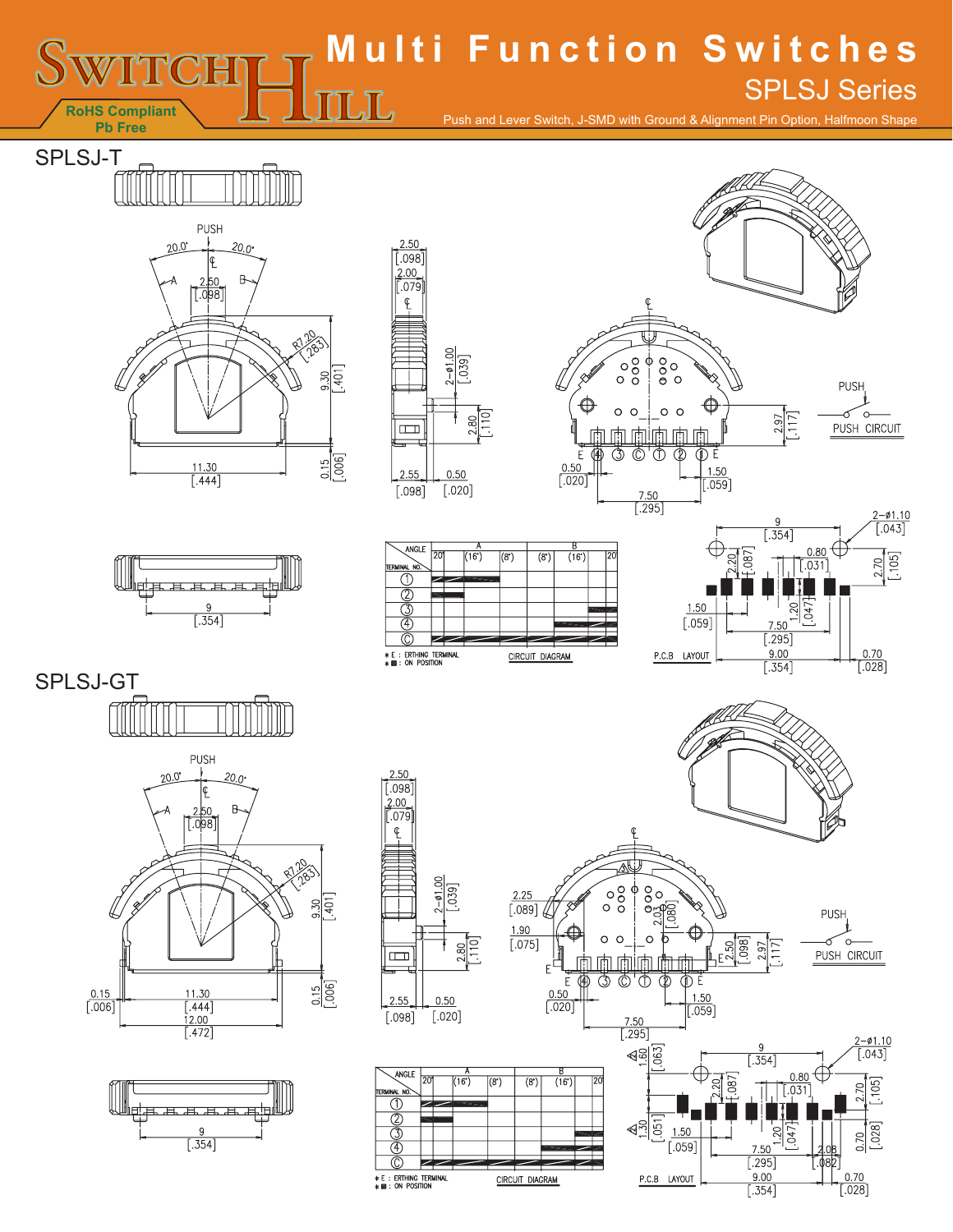# **Multi Function Switches** SPLSJ Series $\mathbb{L} \mathbb{L}$

Push and Lever Switch, J-SMD with Ground & Alignment Pin Option, Halfmoon Shape

SPLSJ-T

**RoHS Compliant Pb Free**

m

























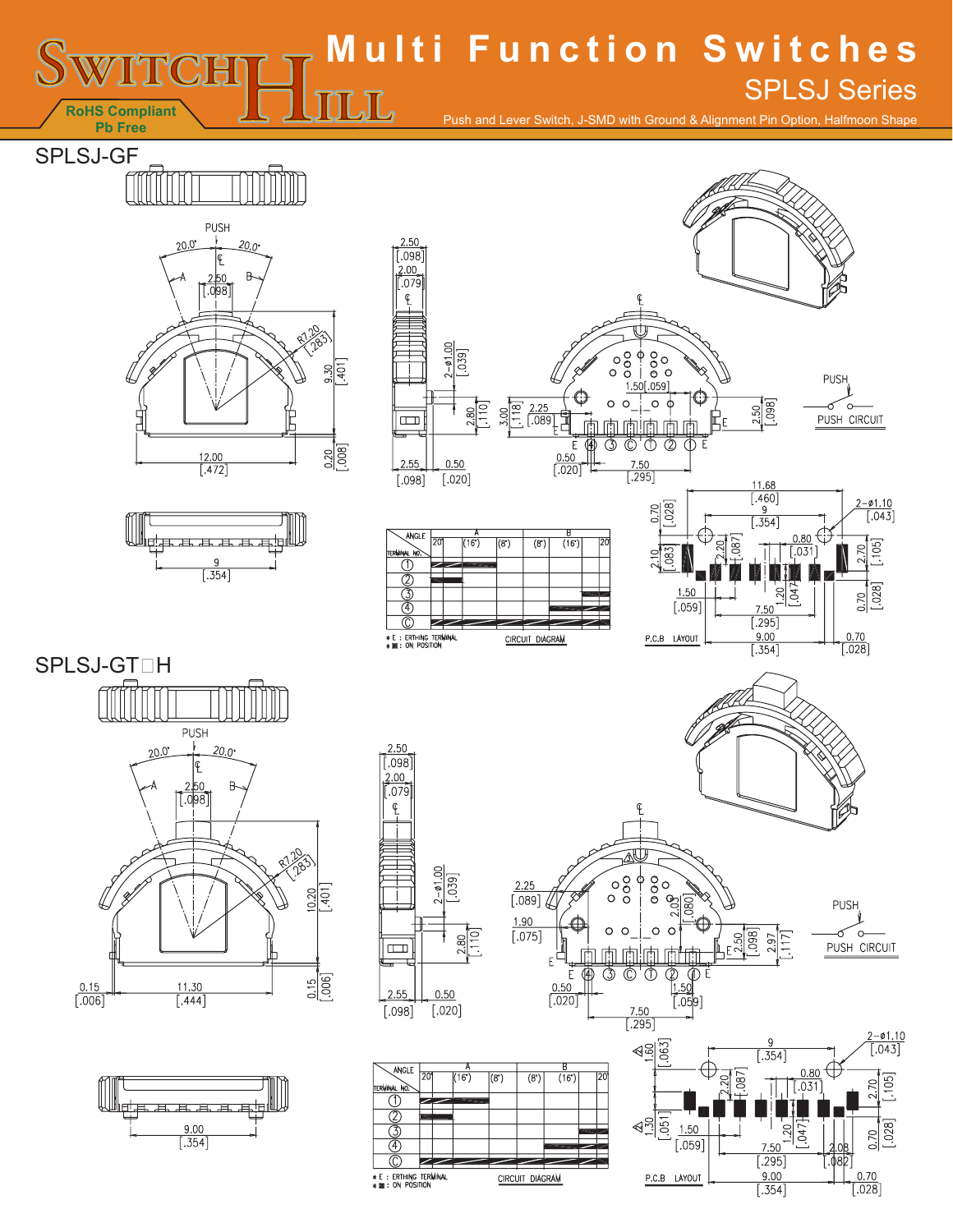# **Multi Function Switches** SPLSJ Series

Push and Lever Switch, J-SMD with Ground & Alignment Pin Option, Halfmoon Shape

SPLSJ-GF

**RoHS Compliant Pb Free**

**M** 



 $\underline{\Pi}\Pi$ 





Õ,  $\overline{\oplus}$ 

1.50

 $[.059]$ 

 $\frac{(-0.110)}{0.043}$ 

 $[.105]$ 

 $[.028]$ 

20

0.70

 $\frac{0.70}{0.028}$ 

 $\frac{9}{5.354}$ 

 $\begin{array}{c|c}\n & 0.80 \\
& 0.81 \\
& 0.031\n\end{array}$ 

 $20$  $047$ 

7.50  $\overline{[.295]}$  $\frac{9.00}{354}$ 

 $\begin{array}{c} 0.50 \\ \hline \text{[.020]} \end{array}$ 







 $0.50$ 

 $[.020]$ 

 $2.55$ 

 $[.098]$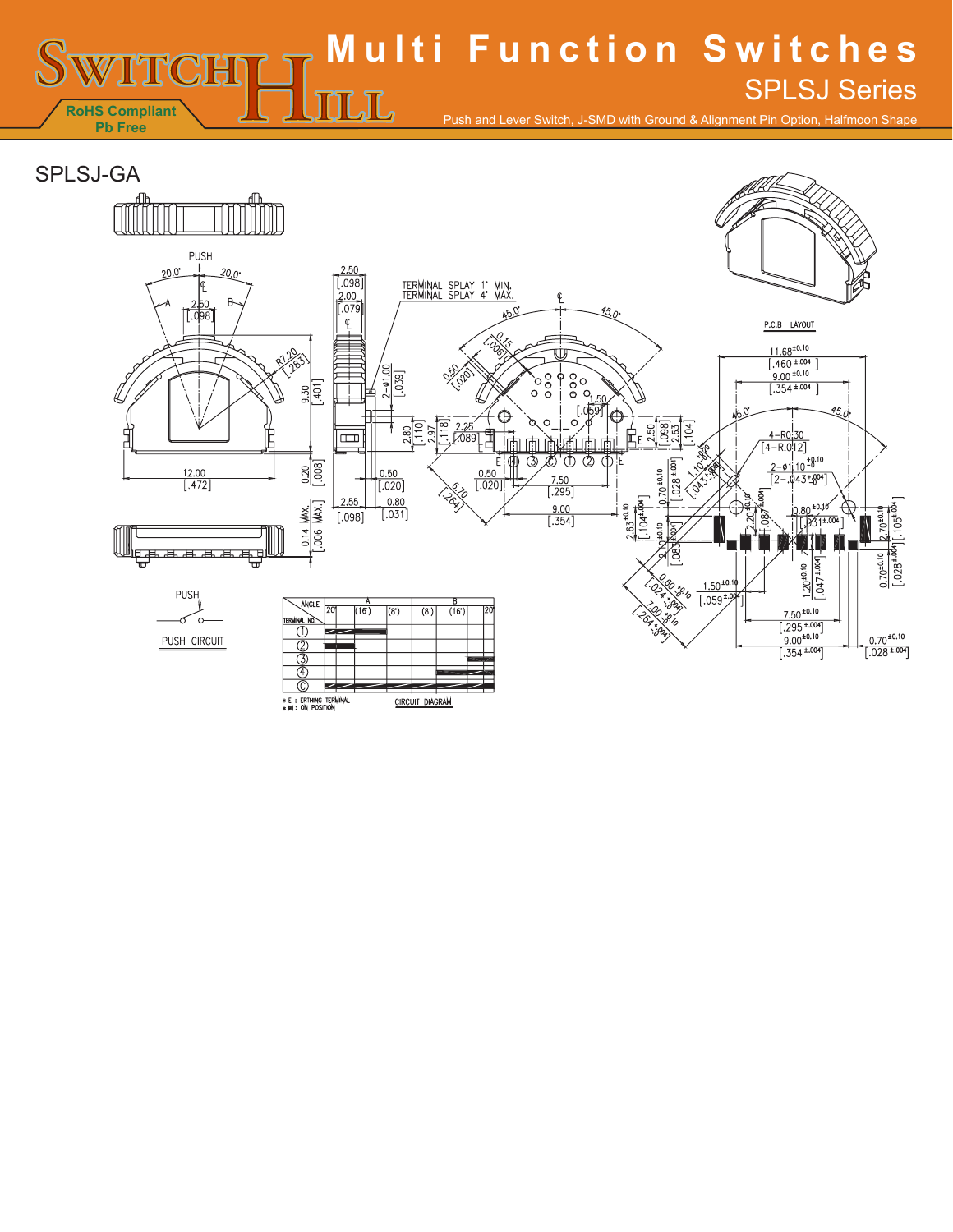